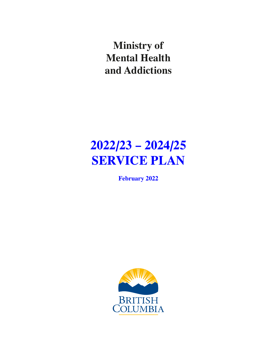**Ministry of Mental Health and Addictions**

# **2022/23 – 2024/25 SERVICE PLAN**

**February 2022**

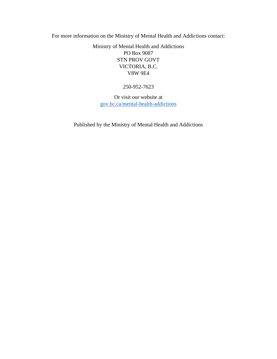For more information on the Ministry of Mental Health and Addictions contact:

Ministry of Mental Health and Addictions PO Box 9087 STN PROV GOVT VICTORIA, B.C. V8W 9E4

250-952-7623

Or visit our website at [gov.bc.ca/mental-health-addictions](http://www2.gov.bc.ca/gov/content/governments/organizational-structure/ministries-organizations/ministries/mental-health-addictions)

Published by the Ministry of Mental Health and Addictions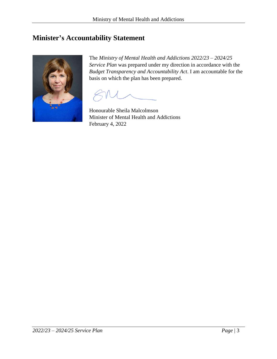## <span id="page-2-0"></span>**Minister's Accountability Statement**



The *Ministry of Mental Health and Addictions 2022/23 – 2024/25 Service Plan* was prepared under my direction in accordance with the *Budget Transparency and Accountability Act*. I am accountable for the basis on which the plan has been prepared.

Honourable Sheila Malcolmson Minister of Mental Health and Addictions February 4, 2022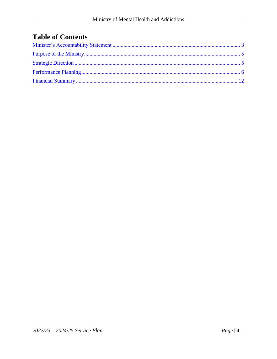## **Table of Contents**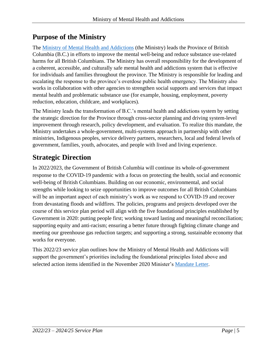## <span id="page-4-0"></span>**Purpose of the Ministry**

The [Ministry of Mental Health and Addictions](https://www2.gov.bc.ca/gov/content/governments/organizational-structure/ministries-organizations/ministries/mental-health-addictions) (the Ministry) leads the Province of British Columbia (B.C.) in efforts to improve the mental well-being and reduce substance use-related harms for all British Columbians. The Ministry has overall responsibility for the development of a coherent, accessible, and culturally safe mental health and addictions system that is effective for individuals and families throughout the province. The Ministry is responsible for leading and escalating the response to the province's overdose public health emergency. The Ministry also works in collaboration with other agencies to strengthen social supports and services that impact mental health and problematic substance use (for example, housing, employment, poverty reduction, education, childcare, and workplaces).

The Ministry leads the transformation of B.C.'s mental health and addictions system by setting the strategic direction for the Province through cross-sector planning and driving system-level improvement through research, policy development, and evaluation. To realize this mandate, the Ministry undertakes a whole-government, multi-systems approach in partnership with other ministries, Indigenous peoples, service delivery partners, researchers, local and federal levels of government, families, youth, advocates, and people with lived and living experience.

## <span id="page-4-1"></span>**Strategic Direction**

In 2022/2023, the Government of British Columbia will continue its whole-of-government response to the COVID-19 pandemic with a focus on protecting the health, social and economic well-being of British Columbians. Building on our economic, environmental, and social strengths while looking to seize opportunities to improve outcomes for all British Columbians will be an important aspect of each ministry's work as we respond to COVID-19 and recover from devastating floods and wildfires. The policies, programs and projects developed over the course of this service plan period will align with the five foundational principles established by Government in 2020: putting people first; working toward lasting and meaningful reconciliation; supporting equity and anti-racism; ensuring a better future through fighting climate change and meeting our greenhouse gas reduction targets; and supporting a strong, sustainable economy that works for everyone.

This 2022/23 service plan outlines how the Ministry of Mental Health and Addictions will support the government's priorities including the foundational principles listed above and selected action items identified in the November 2020 Minister's [Mandate Letter.](https://news.gov.bc.ca/files/MMHA-Malcolmson-mandate.pdf)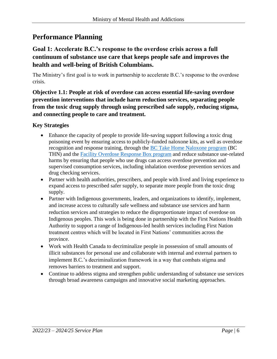### <span id="page-5-0"></span>**Performance Planning**

#### **Goal 1: Accelerate B.C.'s response to the overdose crisis across a full continuum of substance use care that keeps people safe and improves the health and well-being of British Columbians.**

The Ministry's first goal is to work in partnership to accelerate B.C.'s response to the overdose crisis.

**Objective 1.1: People at risk of overdose can access essential life-saving overdose prevention interventions that include harm reduction services, separating people from the toxic drug supply through using prescribed safe supply, reducing stigma, and connecting people to care and treatment.**

#### **Key Strategies**

- Enhance the capacity of people to provide life-saving support following a toxic drug poisoning event by ensuring access to publicly-funded naloxone kits, as well as overdose recognition and response training, through the [BC Take Home Naloxone program](https://towardtheheart.com/naloxone) (BC THN) and the [Facility Overdose Response Box program](https://towardtheheart.com/forb) and reduce substance use-related harms by ensuring that people who use drugs can access overdose prevention and supervised consumption services, including inhalation overdose prevention services and drug checking services.
- Partner with health authorities, prescribers, and people with lived and living experience to expand access to prescribed safer supply, to separate more people from the toxic drug supply.
- Partner with Indigenous governments, leaders, and organizations to identify, implement, and increase access to culturally safe wellness and substance use services and harm reduction services and strategies to reduce the disproportionate impact of overdose on Indigenous peoples. This work is being done in partnership with the First Nations Health Authority to support a range of Indigenous-led health services including First Nation treatment centres which will be located in First Nations' communities across the province.
- Work with Health Canada to decriminalize people in possession of small amounts of illicit substances for personal use and collaborate with internal and external partners to implement B.C.'s decriminalization framework in a way that combats stigma and removes barriers to treatment and support.
- Continue to address stigma and strengthen public understanding of substance use services through broad awareness campaigns and innovative social marketing approaches.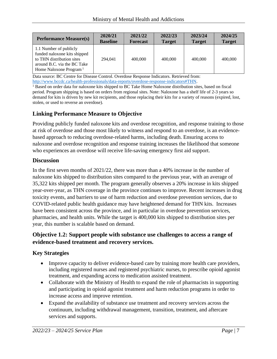| <b>Performance Measure(s)</b>                                                                                                                            | 2020/21         | 2021/22         | 2022/23       | 2023/24       | 2024/25       |
|----------------------------------------------------------------------------------------------------------------------------------------------------------|-----------------|-----------------|---------------|---------------|---------------|
|                                                                                                                                                          | <b>Baseline</b> | <b>Forecast</b> | <b>Target</b> | <b>Target</b> | <b>Target</b> |
| 1.1 Number of publicly<br>funded naloxone kits shipped<br>to THN distribution sites<br>around B.C. via the BC Take<br>Home Naloxone Program <sup>1</sup> | 294,041         | 400,000         | 400,000       | 400,000       | 400,000       |

Data source: BC Centre for Disease Control. Overdose Response Indicators. Retrieved from: [http://www.bccdc.ca/health-professionals/data-reports/overdose-response-indicators#THN.](http://www.bccdc.ca/health-professionals/data-reports/overdose-response-indicators#THN)

<sup>1</sup> Based on order data for naloxone kits shipped to BC Take Home Naloxone distribution sites, based on fiscal period. Program shipping is based on orders from regional sites. Note: Naloxone has a shelf life of 2-3 years so demand for kits is driven by new kit recipients, and those replacing their kits for a variety of reasons (expired, lost, stolen, or used to reverse an overdose).

#### **Linking Performance Measure to Objective**

Providing publicly funded naloxone kits and overdose recognition, and response training to those at risk of overdose and those most likely to witness and respond to an overdose, is an evidencebased approach to reducing overdose-related harms, including death. Ensuring access to naloxone and overdose recognition and response training increases the likelihood that someone who experiences an overdose will receive life-saving emergency first aid support.

#### **Discussion**

In the first seven months of 2021/22, there was more than a 40% increase in the number of naloxone kits shipped to distribution sites compared to the previous year, with an average of 35,322 kits shipped per month. The program generally observes a 20% increase in kits shipped year-over-year, as THN coverage in the province continues to improve. Recent increases in drug toxicity events, and barriers to use of harm reduction and overdose prevention services, due to COVID-related public health guidance may have heightened demand for THN kits. Increases have been consistent across the province, and in particular in overdose prevention services, pharmacies, and health units. While the target is 400,000 kits shipped to distribution sites per year, this number is scalable based on demand.

#### **Objective 1.2: Support people with substance use challenges to access a range of evidence-based treatment and recovery services.**

#### **Key Strategies**

- Improve capacity to deliver evidence-based care by training more health care providers, including registered nurses and registered psychiatric nurses, to prescribe opioid agonist treatment, and expanding access to medication assisted treatment.
- Collaborate with the Ministry of Health to expand the role of pharmacists in supporting and participating in opioid agonist treatment and harm reduction programs in order to increase access and improve retention.
- Expand the availability of substance use treatment and recovery services across the continuum, including withdrawal management, transition, treatment, and aftercare services and supports.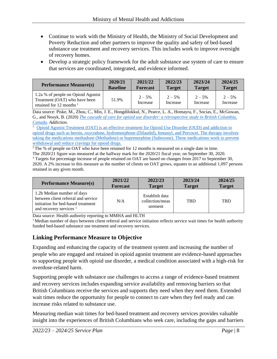- Continue to work with the Ministry of Health, the Ministry of Social Development and Poverty Reduction and other partners to improve the quality and safety of bed-based substance use treatment and recovery services. This includes work to improve oversight of recovery homes.
- Develop a strategic policy framework for the adult substance use system of care to ensure that services are coordinated, integrated, and evidence informed.

| <b>Performance Measure(s)</b>                                                                     | 2020/21         | 2021/22              | 2022/23              | 2023/24               | 2024/25              |
|---------------------------------------------------------------------------------------------------|-----------------|----------------------|----------------------|-----------------------|----------------------|
|                                                                                                   | <b>Baseline</b> | <b>Forecast</b>      | <b>Target</b>        | <b>Target</b>         | <b>Target</b>        |
| 1.2a % of people on Opioid Agonist<br>Treatment (OAT) who have been<br>retained for 12 months $1$ | 51.9%           | $2 - 5%$<br>Increase | $2 - 5%$<br>Increase | $2 - 5\%$<br>Increase | $2 - 5%$<br>Increase |

Data source: Piske, M., Zhou, C., Min, J. E., Hongdilokkul, N., Pearce, L. A., Homayra, F., Socias, E., McGowan, G., and Nosyk, B. (2020) *[The cascade of care for opioid use disorder: a retrospective study in British Columbia,](https://doi.org/10.1111/add.14947)  [Canada.](https://doi.org/10.1111/add.14947) Addiction*.

<sup>1</sup> [Opioid Agonist Treatment \(OAT\) is an effective treatment for Opioid Use Disorder \(OUD\)](https://www.stopoverdose.gov.bc.ca/theweekly/what-opioid-agonist-treatment) and addiction to [opioid drugs such as heroin, oxycodone, hydromorphone \(Dilaudid\), fentanyl, and Percocet. The therapy involves](https://www.stopoverdose.gov.bc.ca/theweekly/what-opioid-agonist-treatment)  [taking the medications methadone \(Methadose\) or buprenorphine \(Suboxone\). These medications work to prevent](https://www.stopoverdose.gov.bc.ca/theweekly/what-opioid-agonist-treatment)  [withdrawal and reduce cravings for opioid drugs.](https://www.stopoverdose.gov.bc.ca/theweekly/what-opioid-agonist-treatment)

<sup>2</sup>The % of people on OAT who have been retained for 12 months is measured on a single date in time. The 2020/21 figure was measured at the halfway mark for the 2020/21 fiscal year, on September 30, 2020.

<sup>3</sup> Targets for percentage increase of people retained on OAT are based on changes from 2017 to September 30, 2020. A 2% increase in this measure as the number of clients on OAT grows, equates to an additional 1,097 persons retained in any given month.

| <b>Performance Measure(s)</b>                                                                                                        | 2021/22         | 2022/23                                      | 2023/24       | 2024/25       |
|--------------------------------------------------------------------------------------------------------------------------------------|-----------------|----------------------------------------------|---------------|---------------|
|                                                                                                                                      | <b>Forecast</b> | <b>Target</b>                                | <b>Target</b> | <b>Target</b> |
| 1.2b Median number of days<br>between client referral and service<br>initiation for bed-based treatment<br>and recovery services $1$ | N/A             | Establish data<br>collection/meas<br>urement | <b>TBD</b>    | <b>TBD</b>    |

Data source: Health authority reporting to MMHA and HLTH

<sup>1</sup> Median number of days between client referral and service initiation reflects service wait times for health authority funded bed-based substance use treatment and recovery services.

#### **Linking Performance Measure to Objective**

Expanding and enhancing the capacity of the treatment system and increasing the number of people who are engaged and retained in opioid agonist treatment are evidence-based approaches to supporting people with opioid use disorder, a medical condition associated with a high-risk for overdose-related harm.

Supporting people with substance use challenges to access a range of evidence-based treatment and recovery services includes expanding service availability and removing barriers so that British Columbians receive the services and supports they need when they need them. Extended wait times reduce the opportunity for people to connect to care when they feel ready and can increase risks related to substance use.

Measuring median wait times for bed-based treatment and recovery services provides valuable insight into the experiences of British Columbians who seek care, including the gaps and barriers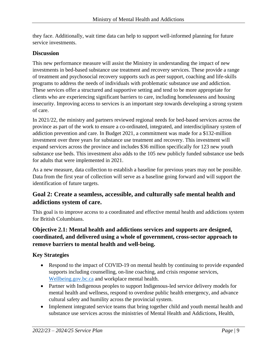they face. Additionally, wait time data can help to support well-informed planning for future service investments.

#### **Discussion**

This new performance measure will assist the Ministry in understanding the impact of new investments in bed-based substance use treatment and recovery services. These provide a range of treatment and psychosocial recovery supports such as peer support, coaching and life-skills programs to address the needs of individuals with problematic substance use and addiction. These services offer a structured and supportive setting and tend to be more appropriate for clients who are experiencing significant barriers to care, including homelessness and housing insecurity. Improving access to services is an important step towards developing a strong system of care.

In 2021/22, the ministry and partners reviewed regional needs for bed-based services across the province as part of the work to ensure a co-ordinated, integrated, and interdisciplinary system of addiction prevention and care. In Budget 2021, a commitment was made for a \$132-million investment over three years for substance use treatment and recovery. This investment will expand services across the province and includes \$36 million specifically for 123 new youth substance use beds. This investment also adds to the 105 new publicly funded substance use beds for adults that were implemented in 2021.

As a new measure, data collection to establish a baseline for previous years may not be possible. Data from the first year of collection will serve as a baseline going forward and will support the identification of future targets.

#### **Goal 2: Create a seamless, accessible, and culturally safe mental health and addictions system of care.**

This goal is to improve access to a coordinated and effective mental health and addictions system for British Columbians.

#### **Objective 2.1: Mental health and addictions services and supports are designed, coordinated, and delivered using a whole of government, cross-sector approach to remove barriers to mental health and well-being.**

#### **Key Strategies**

- Respond to the impact of COVID-19 on mental health by continuing to provide expanded supports including counselling, on-line coaching, and crisis response services, [Wellbeing.gov.bc.ca](https://wellbeing.gov.bc.ca/) and workplace mental health.
- Partner with Indigenous peoples to support Indigenous-led service delivery models for mental health and wellness, respond to overdose public health emergency, and advance cultural safety and humility across the provincial system.
- Implement integrated service teams that bring together child and youth mental health and substance use services across the ministries of Mental Health and Addictions, Health,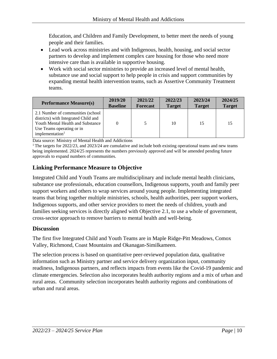Education, and Children and Family Development, to better meet the needs of young people and their families.

- Lead work across ministries and with Indigenous, health, housing, and social sector partners to develop and implement complex care housing for those who need more intensive care than is available in supportive housing.
- Work with social sector ministries to provide an increased level of mental health, substance use and social support to help people in crisis and support communities by expanding mental health intervention teams, such as Assertive Community Treatment teams.

| <b>Performance Measure(s)</b>                                                                                                                                               | 2019/20         | 2021/22         | 2022/23       | 2023/24       | 2024/25       |
|-----------------------------------------------------------------------------------------------------------------------------------------------------------------------------|-----------------|-----------------|---------------|---------------|---------------|
|                                                                                                                                                                             | <b>Baseline</b> | <b>Forecast</b> | <b>Target</b> | <b>Target</b> | <b>Target</b> |
| 2.1 Number of communities (school)<br>districts) with Integrated Child and<br>Youth Mental Health and Substance<br>Use Teams operating or in<br>implementation <sup>1</sup> |                 | 5               | 10            | 15            | 15            |

Data source: Ministry of Mental Health and Addictions

<sup>1</sup> The targets for 2022/23, and 2023/24 are cumulative and include both existing operational teams and new teams being implemented. 2024/25 represents the numbers previously approved and will be amended pending future approvals to expand numbers of communities.

#### **Linking Performance Measure to Objective**

Integrated Child and Youth Teams are multidisciplinary and include mental health clinicians, substance use professionals, education counsellors, Indigenous supports, youth and family peer support workers and others to wrap services around young people. Implementing integrated teams that bring together multiple ministries, schools, health authorities, peer support workers, Indigenous supports, and other service providers to meet the needs of children, youth and families seeking services is directly aligned with Objective 2.1, to use a whole of government, cross-sector approach to remove barriers to mental health and well-being.

#### **Discussion**

The first five Integrated Child and Youth Teams are in Maple Ridge-Pitt Meadows, Comox Valley, Richmond, Coast Mountains and Okanagan-Similkameen.

The selection process is based on quantitative peer-reviewed population data, qualitative information such as Ministry partner and service delivery organization input, community readiness, Indigenous partners, and reflects impacts from events like the Covid-19 pandemic and climate emergencies. Selection also incorporates health authority regions and a mix of urban and rural areas. Community selection incorporates health authority regions and combinations of urban and rural areas.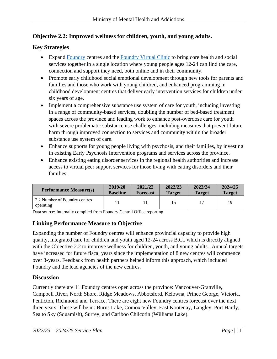#### **Objective 2.2: Improved wellness for children, youth, and young adults.**

#### **Key Strategies**

- Expand [Foundry](https://foundrybc.ca/) centres and the [Foundry Virtual Clinic](https://foundrybc.ca/virtual/) to bring core health and social services together in a single location where young people ages 12-24 can find the care, connection and support they need, both online and in their community.
- Promote early childhood social emotional development through new tools for parents and families and those who work with young children, and enhanced programming in childhood development centres that deliver early intervention services for children under six years of age.
- Implement a comprehensive substance use system of care for youth, including investing in a range of community-based services, doubling the number of bed-based treatment spaces across the province and leading work to enhance post-overdose care for youth with severe problematic substance use challenges, including measures that prevent future harm through improved connection to services and community within the broader substance use system of care.
- Enhance supports for young people living with psychosis, and their families, by investing in existing Early Psychosis Intervention programs and services across the province.
- Enhance existing eating disorder services in the regional health authorities and increase access to virtual peer support services for those living with eating disorders and their families.

| <b>Performance Measure(s)</b>              | 2019/20         | 2021/22         | 2022/23       | 2023/24       | 2024/25       |
|--------------------------------------------|-----------------|-----------------|---------------|---------------|---------------|
|                                            | <b>Baseline</b> | <b>Forecast</b> | <b>Target</b> | <b>Target</b> | <b>Target</b> |
| 2.2 Number of Foundry centres<br>operating |                 |                 | 15            |               | 19            |

Data source: Internally compiled from Foundry Central Office reporting

#### **Linking Performance Measure to Objective**

Expanding the number of Foundry centres will enhance provincial capacity to provide high quality, integrated care for children and youth aged 12-24 across B.C., which is directly aligned with the Objective 2.2 to improve wellness for children, youth, and young adults. Annual targets have increased for future fiscal years since the implementation of 8 new centres will commence over 3-years. Feedback from health partners helped inform this approach, which included Foundry and the lead agencies of the new centres.

#### **Discussion**

Currently there are 11 Foundry centres open across the province: Vancouver-Granville, Campbell River, North Shore, Ridge Meadows, Abbotsford, Kelowna, Prince George, Victoria, Penticton, Richmond and Terrace. There are eight new Foundry centres forecast over the next three years. These will be in: Burns Lake, Comox Valley, East Kootenay, Langley, Port Hardy, Sea to Sky (Squamish), Surrey, and Cariboo Chilcotin (Williams Lake).